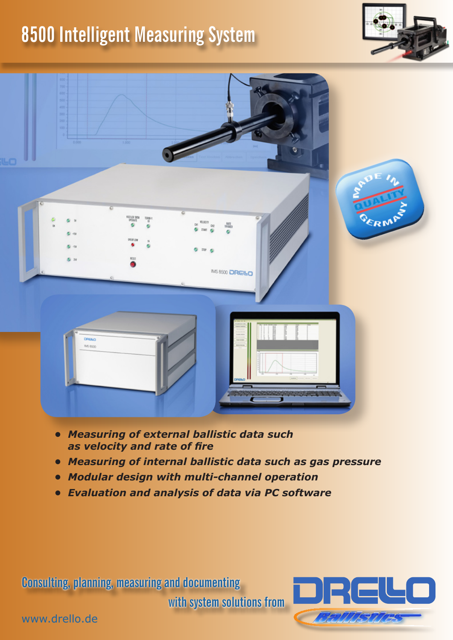## **8500 Intelligent Measuring System**





- *• Measuring of external ballistic data such as velocity and rate of fire*
- *• Measuring of internal ballistic data such as gas pressure*
- *• Modular design with multi-channel operation*
- *• Evaluation and analysis of data via PC software*

**Consulting, planning, measuring and documenting** 

**with system solutions from**



www.drello.de